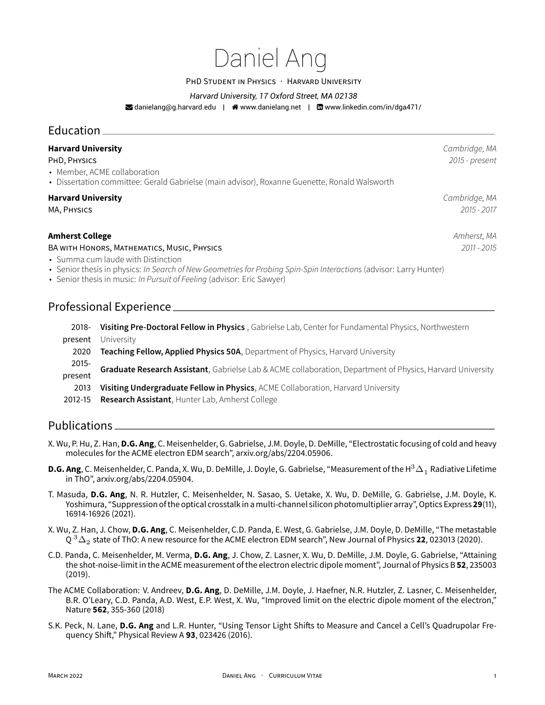# Daniel Ang

PHD STUDENT IN PHYSICS · HARVARD UNIVERSITY

#### *Harvard University, 17 Oxford Street, MA 02138*

 $\blacktriangleright$  danielang@g.harvard.edu |  $\blacklozenge$  www.danielang.net |  $\boxdot$  www.linkedin.com/in/dga471/

# Education \_ **Harvard University** *Cambridge, MA* PHD, PHYSICS *2015 - present* • Member, ACME collaboration • Dissertation committee: Gerald Gabrielse (main advisor), Roxanne Guenette, Ronald Walsworth

#### **Harvard University** *Cambridge, MA*

MA, PHYSICS *2015 - 2017*

#### **Amherst College** *Amherst, MA*

BA WITH HONORS, MATHEMATICS, MUSIC, PHYSICS *2011 - 2015*

• Summa cum laude with Distinction

• Senior thesis in physics: *In Search of New Geometries for Probing Spin-Spin Interactions* (advisor: Larry Hunter)

• Senior thesis in music: *In Pursuit of Feeling* (advisor: Eric Sawyer)

# Professional Experience

2018- **Visiting Pre-Doctoral Fellow in Physics** , Gabrielse Lab, Center for Fundamental Physics, Northwestern present University 2020 **Teaching Fellow, Applied Physics 50A**, Department of Physics, Harvard University

- 2015 present **Graduate Research Assistant**, Gabrielse Lab & ACME collaboration, Department of Physics, Harvard University
- 2013 **Visiting Undergraduate Fellow in Physics**, ACME Collaboration, Harvard University
- 2012-15 **Research Assistant**, Hunter Lab, Amherst College

## Publications

- X. Wu, P. Hu, Z. Han, **D.G. Ang**, C. Meisenhelder, G. Gabrielse, J.M. Doyle, D. DeMille, "Electrostatic focusing of cold and heavy molecules for the ACME electron EDM search", arxiv.org/abs/2204.05906.
- **D.G. Ang**, C. Meisenhelder, C. Panda, X. Wu, D. DeMille, J. Doyle, G. Gabrielse, "Measurement of the H $^3\Delta_1$  Radiative Lifetime in ThO", arxiv.org/abs/2204.05904.
- T. Masuda, **D.G. Ang**, N. R. Hutzler, C. Meisenhelder, N. Sasao, S. Uetake, X. Wu, D. DeMille, G. Gabrielse, J.M. Doyle, K. Yoshimura, "Suppression of the optical crosstalk in amulti-channel silicon photomultiplier array", Optics Express **29**(11), 16914-16926 (2021).
- X. Wu, Z. Han, J. Chow, **D.G. Ang**, C. Meisenhelder, C.D. Panda, E. West, G. Gabrielse, J.M. Doyle, D. DeMille, "The metastable  $\mathrm{Q}\,^3\Delta_2$  state of ThO: A new resource for the ACME electron EDM search", New Journal of Physics **22**, 023013 (2020).
- C.D. Panda, C. Meisenhelder, M. Verma, **D.G. Ang**, J. Chow, Z. Lasner, X. Wu, D. DeMille, J.M. Doyle, G. Gabrielse, "Attaining the shot-noise-limit in the ACME measurement of the electron electric dipole moment", Journal of Physics B **52**, 235003 (2019).
- The ACME Collaboration: V. Andreev, **D.G. Ang**, D. DeMille, J.M. Doyle, J. Haefner, N.R. Hutzler, Z. Lasner, C. Meisenhelder, B.R. O'Leary, C.D. Panda, A.D. West, E.P. West, X. Wu, "Improved limit on the electric dipole moment of the electron," Nature **562**, 355-360 (2018)
- S.K. Peck, N. Lane, **D.G. Ang** and L.R. Hunter, "Using Tensor Light Shifts to Measure and Cancel a Cell's Quadrupolar Frequency Shift," Physical Review A **93**, 023426 (2016).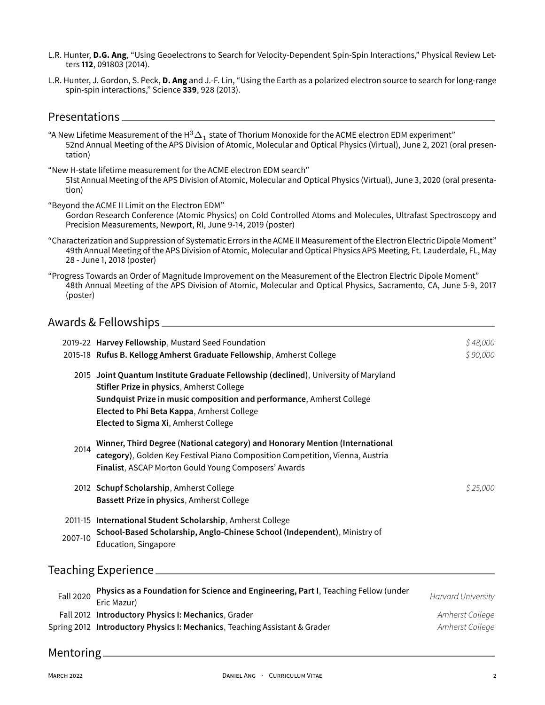- L.R. Hunter, **D.G. Ang**, "Using Geoelectrons to Search for Velocity-Dependent Spin-Spin Interactions," Physical Review Letters **112**, 091803 (2014).
- L.R. Hunter, J. Gordon, S. Peck, **D. Ang** and J.-F. Lin, "Using the Earth as a polarized electron source to search for long-range spin-spin interactions," Science **339**, 928 (2013).

### Presentations

- "A New Lifetime Measurement of the H $^3\Delta_1$  state of Thorium Monoxide for the ACME electron EDM experiment" 52nd Annual Meeting of the APS Division of Atomic, Molecular and Optical Physics (Virtual), June 2, 2021 (oral presentation)
- "New H-state lifetime measurement for the ACME electron EDM search" 51st Annual Meeting of the APS Division of Atomic, Molecular and Optical Physics (Virtual), June 3, 2020 (oral presentation)

"Beyond the ACME II Limit on the Electron EDM"

- Gordon Research Conference (Atomic Physics) on Cold Controlled Atoms and Molecules, Ultrafast Spectroscopy and Precision Measurements, Newport, RI, June 9-14, 2019 (poster)
- "Characterization and Suppression of Systematic Errors in the ACME II Measurement of the Electron Electric Dipole Moment" 49th Annual Meeting of the APS Division of Atomic, Molecular and Optical Physics APS Meeting, Ft. Lauderdale, FL, May 28 - June 1, 2018 (poster)
- "Progress Towards an Order of Magnitude Improvement on the Measurement of the Electron Electric Dipole Moment" 48th Annual Meeting of the APS Division of Atomic, Molecular and Optical Physics, Sacramento, CA, June 5-9, 2017 (poster)

#### Awards & Fellowships

|                  | 2019-22 Harvey Fellowship, Mustard Seed Foundation<br>2015-18 Rufus B. Kellogg Amherst Graduate Fellowship, Amherst College                                                                                                                                                                     | \$48,000<br>\$90,000                                            |
|------------------|-------------------------------------------------------------------------------------------------------------------------------------------------------------------------------------------------------------------------------------------------------------------------------------------------|-----------------------------------------------------------------|
|                  | 2015 Joint Quantum Institute Graduate Fellowship (declined), University of Maryland<br>Stifler Prize in physics, Amherst College<br>Sundquist Prize in music composition and performance, Amherst College<br>Elected to Phi Beta Kappa, Amherst College<br>Elected to Sigma Xi, Amherst College |                                                                 |
| 2014             | Winner, Third Degree (National category) and Honorary Mention (International<br>category), Golden Key Festival Piano Composition Competition, Vienna, Austria<br>Finalist, ASCAP Morton Gould Young Composers' Awards                                                                           |                                                                 |
|                  | 2012 Schupf Scholarship, Amherst College<br>Bassett Prize in physics, Amherst College                                                                                                                                                                                                           | \$25,000                                                        |
| 2007-10          | 2011-15 International Student Scholarship, Amherst College<br>School-Based Scholarship, Anglo-Chinese School (Independent), Ministry of<br>Education, Singapore                                                                                                                                 |                                                                 |
|                  | Teaching Experience __________                                                                                                                                                                                                                                                                  |                                                                 |
| <b>Fall 2020</b> | Physics as a Foundation for Science and Engineering, Part I, Teaching Fellow (under<br>Eric Mazur)<br>Fall 2012 Introductory Physics I: Mechanics, Grader<br>Spring 2012 Introductory Physics I: Mechanics, Teaching Assistant & Grader                                                         | <b>Harvard University</b><br>Amherst College<br>Amherst College |
| Mentoring        |                                                                                                                                                                                                                                                                                                 |                                                                 |